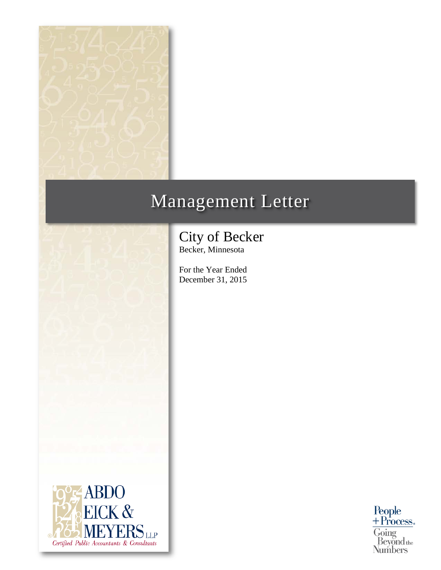

# Management Letter



For the Year Ended December 31, 2015



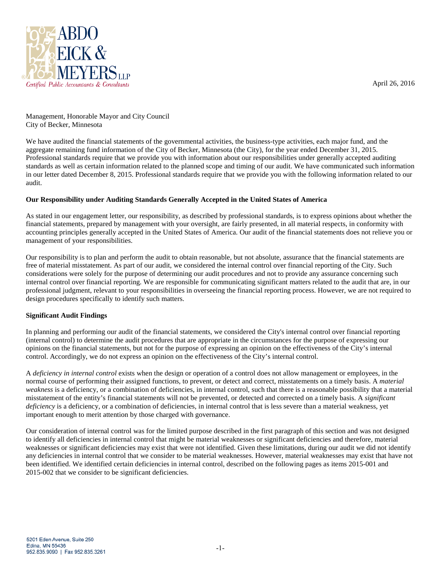

April 26, 2016

Management, Honorable Mayor and City Council City of Becker, Minnesota

We have audited the financial statements of the governmental activities, the business-type activities, each major fund, and the aggregate remaining fund information of the City of Becker, Minnesota (the City), for the year ended December 31, 2015. Professional standards require that we provide you with information about our responsibilities under generally accepted auditing standards as well as certain information related to the planned scope and timing of our audit. We have communicated such information in our letter dated December 8, 2015. Professional standards require that we provide you with the following information related to our audit.

#### **Our Responsibility under Auditing Standards Generally Accepted in the United States of America**

As stated in our engagement letter, our responsibility, as described by professional standards, is to express opinions about whether the financial statements, prepared by management with your oversight, are fairly presented, in all material respects, in conformity with accounting principles generally accepted in the United States of America. Our audit of the financial statements does not relieve you or management of your responsibilities.

Our responsibility is to plan and perform the audit to obtain reasonable, but not absolute, assurance that the financial statements are free of material misstatement. As part of our audit, we considered the internal control over financial reporting of the City. Such considerations were solely for the purpose of determining our audit procedures and not to provide any assurance concerning such internal control over financial reporting. We are responsible for communicating significant matters related to the audit that are, in our professional judgment, relevant to your responsibilities in overseeing the financial reporting process. However, we are not required to design procedures specifically to identify such matters.

#### **Significant Audit Findings**

In planning and performing our audit of the financial statements, we considered the City's internal control over financial reporting (internal control) to determine the audit procedures that are appropriate in the circumstances for the purpose of expressing our opinions on the financial statements, but not for the purpose of expressing an opinion on the effectiveness of the City's internal control. Accordingly, we do not express an opinion on the effectiveness of the City's internal control.

A *deficiency in internal control* exists when the design or operation of a control does not allow management or employees, in the normal course of performing their assigned functions, to prevent, or detect and correct, misstatements on a timely basis. A *material weakness* is a deficiency, or a combination of deficiencies, in internal control, such that there is a reasonable possibility that a material misstatement of the entity's financial statements will not be prevented, or detected and corrected on a timely basis. A *significant deficiency* is a deficiency, or a combination of deficiencies, in internal control that is less severe than a material weakness, yet important enough to merit attention by those charged with governance.

Our consideration of internal control was for the limited purpose described in the first paragraph of this section and was not designed to identify all deficiencies in internal control that might be material weaknesses or significant deficiencies and therefore, material weaknesses or significant deficiencies may exist that were not identified. Given these limitations, during our audit we did not identify any deficiencies in internal control that we consider to be material weaknesses. However, material weaknesses may exist that have not been identified. We identified certain deficiencies in internal control, described on the following pages as items 2015-001 and 2015-002 that we consider to be significant deficiencies.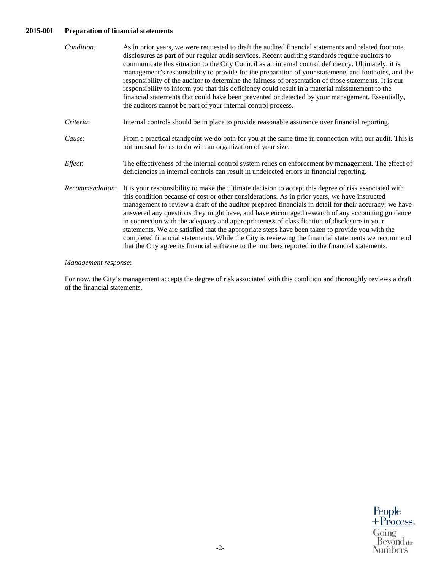#### **2015-001 Preparation of financial statements**

| Condition:      | As in prior years, we were requested to draft the audited financial statements and related footnote<br>disclosures as part of our regular audit services. Recent auditing standards require auditors to<br>communicate this situation to the City Council as an internal control deficiency. Ultimately, it is<br>management's responsibility to provide for the preparation of your statements and footnotes, and the<br>responsibility of the auditor to determine the fairness of presentation of those statements. It is our<br>responsibility to inform you that this deficiency could result in a material misstatement to the<br>financial statements that could have been prevented or detected by your management. Essentially,<br>the auditors cannot be part of your internal control process.                    |
|-----------------|------------------------------------------------------------------------------------------------------------------------------------------------------------------------------------------------------------------------------------------------------------------------------------------------------------------------------------------------------------------------------------------------------------------------------------------------------------------------------------------------------------------------------------------------------------------------------------------------------------------------------------------------------------------------------------------------------------------------------------------------------------------------------------------------------------------------------|
| Criteria:       | Internal controls should be in place to provide reasonable assurance over financial reporting.                                                                                                                                                                                                                                                                                                                                                                                                                                                                                                                                                                                                                                                                                                                               |
| Cause:          | From a practical standpoint we do both for you at the same time in connection with our audit. This is<br>not unusual for us to do with an organization of your size.                                                                                                                                                                                                                                                                                                                                                                                                                                                                                                                                                                                                                                                         |
| Effect:         | The effectiveness of the internal control system relies on enforcement by management. The effect of<br>deficiencies in internal controls can result in undetected errors in financial reporting.                                                                                                                                                                                                                                                                                                                                                                                                                                                                                                                                                                                                                             |
| Recommendation: | It is your responsibility to make the ultimate decision to accept this degree of risk associated with<br>this condition because of cost or other considerations. As in prior years, we have instructed<br>management to review a draft of the auditor prepared financials in detail for their accuracy; we have<br>answered any questions they might have, and have encouraged research of any accounting guidance<br>in connection with the adequacy and appropriateness of classification of disclosure in your<br>statements. We are satisfied that the appropriate steps have been taken to provide you with the<br>completed financial statements. While the City is reviewing the financial statements we recommend<br>that the City agree its financial software to the numbers reported in the financial statements. |

#### *Management response*:

For now, the City's management accepts the degree of risk associated with this condition and thoroughly reviews a draft of the financial statements.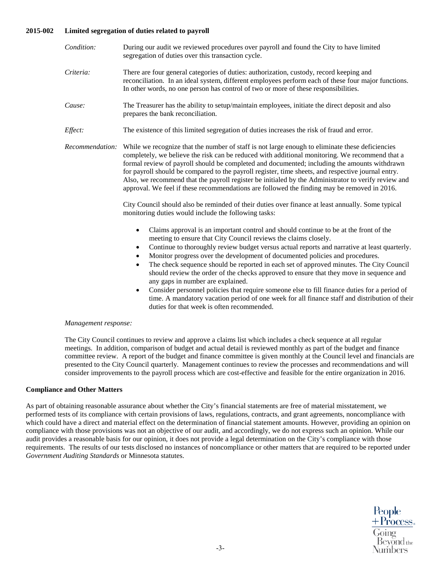#### **2015-002 Limited segregation of duties related to payroll**

*Condition:* During our audit we reviewed procedures over payroll and found the City to have limited segregation of duties over this transaction cycle. *Criteria:* There are four general categories of duties: authorization, custody, record keeping and reconciliation. In an ideal system, different employees perform each of these four major functions. In other words, no one person has control of two or more of these responsibilities. *Cause:* The Treasurer has the ability to setup/maintain employees, initiate the direct deposit and also prepares the bank reconciliation. *Effect:* The existence of this limited segregation of duties increases the risk of fraud and error. *Recommendation:* While we recognize that the number of staff is not large enough to eliminate these deficiencies completely, we believe the risk can be reduced with additional monitoring. We recommend that a formal review of payroll should be completed and documented; including the amounts withdrawn for payroll should be compared to the payroll register, time sheets, and respective journal entry. Also, we recommend that the payroll register be initialed by the Administrator to verify review and approval. We feel if these recommendations are followed the finding may be removed in 2016. City Council should also be reminded of their duties over finance at least annually. Some typical monitoring duties would include the following tasks: • Claims approval is an important control and should continue to be at the front of the meeting to ensure that City Council reviews the claims closely. • Continue to thoroughly review budget versus actual reports and narrative at least quarterly. • Monitor progress over the development of documented policies and procedures. The check sequence should be reported in each set of approved minutes. The City Council should review the order of the checks approved to ensure that they move in sequence and any gaps in number are explained. • Consider personnel policies that require someone else to fill finance duties for a period of time. A mandatory vacation period of one week for all finance staff and distribution of their

# *Management response:*

The City Council continues to review and approve a claims list which includes a check sequence at all regular meetings. In addition, comparison of budget and actual detail is reviewed monthly as part of the budget and finance committee review. A report of the budget and finance committee is given monthly at the Council level and financials are presented to the City Council quarterly. Management continues to review the processes and recommendations and will consider improvements to the payroll process which are cost-effective and feasible for the entire organization in 2016.

#### **Compliance and Other Matters**

As part of obtaining reasonable assurance about whether the City's financial statements are free of material misstatement, we performed tests of its compliance with certain provisions of laws, regulations, contracts, and grant agreements, noncompliance with which could have a direct and material effect on the determination of financial statement amounts. However, providing an opinion on compliance with those provisions was not an objective of our audit, and accordingly, we do not express such an opinion. While our audit provides a reasonable basis for our opinion, it does not provide a legal determination on the City's compliance with those requirements. The results of our tests disclosed no instances of noncompliance or other matters that are required to be reported under *Government Auditing Standards* or Minnesota statutes.

duties for that week is often recommended.

People + Process.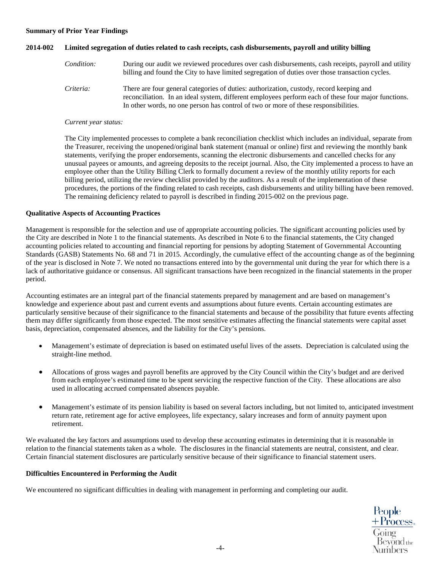#### **Summary of Prior Year Findings**

#### **2014-002 Limited segregation of duties related to cash receipts, cash disbursements, payroll and utility billing**

*Condition:* During our audit we reviewed procedures over cash disbursements, cash receipts, payroll and utility billing and found the City to have limited segregation of duties over those transaction cycles. *Criteria:* There are four general categories of duties: authorization, custody, record keeping and reconciliation. In an ideal system, different employees perform each of these four major functions. In other words, no one person has control of two or more of these responsibilities.

#### *Current year status:*

The City implemented processes to complete a bank reconciliation checklist which includes an individual, separate from the Treasurer, receiving the unopened/original bank statement (manual or online) first and reviewing the monthly bank statements, verifying the proper endorsements, scanning the electronic disbursements and cancelled checks for any unusual payees or amounts, and agreeing deposits to the receipt journal. Also, the City implemented a process to have an employee other than the Utility Billing Clerk to formally document a review of the monthly utility reports for each billing period, utilizing the review checklist provided by the auditors. As a result of the implementation of these procedures, the portions of the finding related to cash receipts, cash disbursements and utility billing have been removed. The remaining deficiency related to payroll is described in finding 2015-002 on the previous page.

#### **Qualitative Aspects of Accounting Practices**

Management is responsible for the selection and use of appropriate accounting policies. The significant accounting policies used by the City are described in Note 1 to the financial statements. As described in Note 6 to the financial statements, the City changed accounting policies related to accounting and financial reporting for pensions by adopting Statement of Governmental Accounting Standards (GASB) Statements No. 68 and 71 in 2015. Accordingly, the cumulative effect of the accounting change as of the beginning of the year is disclosed in Note 7. We noted no transactions entered into by the governmental unit during the year for which there is a lack of authoritative guidance or consensus. All significant transactions have been recognized in the financial statements in the proper period.

Accounting estimates are an integral part of the financial statements prepared by management and are based on management's knowledge and experience about past and current events and assumptions about future events. Certain accounting estimates are particularly sensitive because of their significance to the financial statements and because of the possibility that future events affecting them may differ significantly from those expected. The most sensitive estimates affecting the financial statements were capital asset basis, depreciation, compensated absences, and the liability for the City's pensions.

- Management's estimate of depreciation is based on estimated useful lives of the assets. Depreciation is calculated using the straight-line method.
- Allocations of gross wages and payroll benefits are approved by the City Council within the City's budget and are derived from each employee's estimated time to be spent servicing the respective function of the City. These allocations are also used in allocating accrued compensated absences payable.
- Management's estimate of its pension liability is based on several factors including, but not limited to, anticipated investment return rate, retirement age for active employees, life expectancy, salary increases and form of annuity payment upon retirement.

We evaluated the key factors and assumptions used to develop these accounting estimates in determining that it is reasonable in relation to the financial statements taken as a whole. The disclosures in the financial statements are neutral, consistent, and clear. Certain financial statement disclosures are particularly sensitive because of their significance to financial statement users.

#### **Difficulties Encountered in Performing the Audit**

We encountered no significant difficulties in dealing with management in performing and completing our audit.

People  $\pm$  Process. Bevond<sub>the</sub>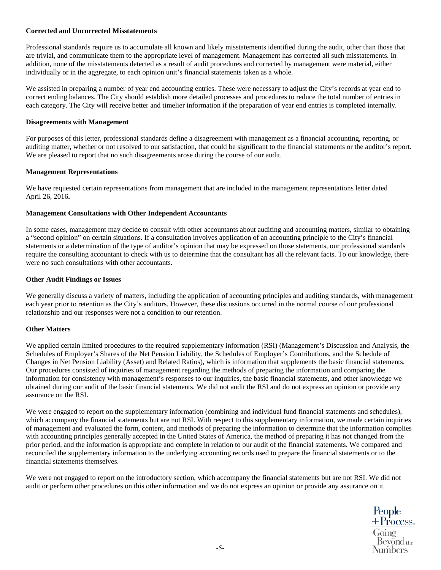#### **Corrected and Uncorrected Misstatements**

Professional standards require us to accumulate all known and likely misstatements identified during the audit, other than those that are trivial, and communicate them to the appropriate level of management. Management has corrected all such misstatements. In addition, none of the misstatements detected as a result of audit procedures and corrected by management were material, either individually or in the aggregate, to each opinion unit's financial statements taken as a whole.

We assisted in preparing a number of year end accounting entries. These were necessary to adjust the City's records at year end to correct ending balances. The City should establish more detailed processes and procedures to reduce the total number of entries in each category. The City will receive better and timelier information if the preparation of year end entries is completed internally.

#### **Disagreements with Management**

For purposes of this letter, professional standards define a disagreement with management as a financial accounting, reporting, or auditing matter, whether or not resolved to our satisfaction, that could be significant to the financial statements or the auditor's report. We are pleased to report that no such disagreements arose during the course of our audit.

#### **Management Representations**

We have requested certain representations from management that are included in the management representations letter dated April 26, 2016**.** 

#### **Management Consultations with Other Independent Accountants**

In some cases, management may decide to consult with other accountants about auditing and accounting matters, similar to obtaining a "second opinion" on certain situations. If a consultation involves application of an accounting principle to the City's financial statements or a determination of the type of auditor's opinion that may be expressed on those statements, our professional standards require the consulting accountant to check with us to determine that the consultant has all the relevant facts. To our knowledge, there were no such consultations with other accountants.

#### **Other Audit Findings or Issues**

We generally discuss a variety of matters, including the application of accounting principles and auditing standards, with management each year prior to retention as the City's auditors. However, these discussions occurred in the normal course of our professional relationship and our responses were not a condition to our retention.

#### **Other Matters**

We applied certain limited procedures to the required supplementary information (RSI) (Management's Discussion and Analysis, the Schedules of Employer's Shares of the Net Pension Liability, the Schedules of Employer's Contributions, and the Schedule of Changes in Net Pension Liability (Asset) and Related Ratios), which is information that supplements the basic financial statements. Our procedures consisted of inquiries of management regarding the methods of preparing the information and comparing the information for consistency with management's responses to our inquiries, the basic financial statements, and other knowledge we obtained during our audit of the basic financial statements. We did not audit the RSI and do not express an opinion or provide any assurance on the RSI.

We were engaged to report on the supplementary information (combining and individual fund financial statements and schedules), which accompany the financial statements but are not RSI. With respect to this supplementary information, we made certain inquiries of management and evaluated the form, content, and methods of preparing the information to determine that the information complies with accounting principles generally accepted in the United States of America, the method of preparing it has not changed from the prior period, and the information is appropriate and complete in relation to our audit of the financial statements. We compared and reconciled the supplementary information to the underlying accounting records used to prepare the financial statements or to the financial statements themselves.

We were not engaged to report on the introductory section, which accompany the financial statements but are not RSI. We did not audit or perform other procedures on this other information and we do not express an opinion or provide any assurance on it.

People<br>+Process<br>Going<br>Beyond<sub>the</sub>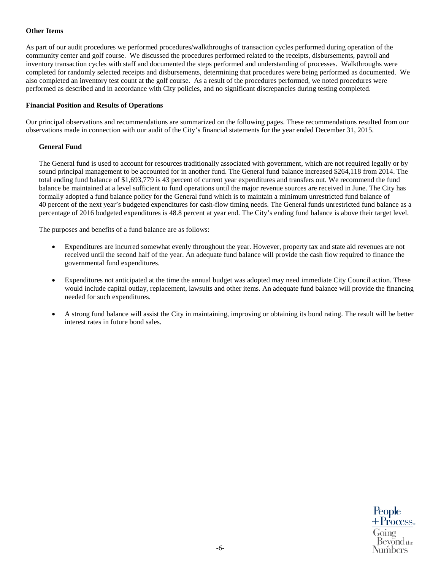#### **Other Items**

As part of our audit procedures we performed procedures/walkthroughs of transaction cycles performed during operation of the community center and golf course. We discussed the procedures performed related to the receipts, disbursements, payroll and inventory transaction cycles with staff and documented the steps performed and understanding of processes. Walkthroughs were completed for randomly selected receipts and disbursements, determining that procedures were being performed as documented. We also completed an inventory test count at the golf course. As a result of the procedures performed, we noted procedures were performed as described and in accordance with City policies, and no significant discrepancies during testing completed.

#### **Financial Position and Results of Operations**

Our principal observations and recommendations are summarized on the following pages. These recommendations resulted from our observations made in connection with our audit of the City's financial statements for the year ended December 31, 2015.

#### **General Fund**

The General fund is used to account for resources traditionally associated with government, which are not required legally or by sound principal management to be accounted for in another fund. The General fund balance increased \$264,118 from 2014. The total ending fund balance of \$1,693,779 is 43 percent of current year expenditures and transfers out. We recommend the fund balance be maintained at a level sufficient to fund operations until the major revenue sources are received in June. The City has formally adopted a fund balance policy for the General fund which is to maintain a minimum unrestricted fund balance of 40 percent of the next year's budgeted expenditures for cash-flow timing needs. The General funds unrestricted fund balance as a percentage of 2016 budgeted expenditures is 48.8 percent at year end. The City's ending fund balance is above their target level.

The purposes and benefits of a fund balance are as follows:

- Expenditures are incurred somewhat evenly throughout the year. However, property tax and state aid revenues are not received until the second half of the year. An adequate fund balance will provide the cash flow required to finance the governmental fund expenditures.
- Expenditures not anticipated at the time the annual budget was adopted may need immediate City Council action. These would include capital outlay, replacement, lawsuits and other items. An adequate fund balance will provide the financing needed for such expenditures.
- A strong fund balance will assist the City in maintaining, improving or obtaining its bond rating. The result will be better interest rates in future bond sales.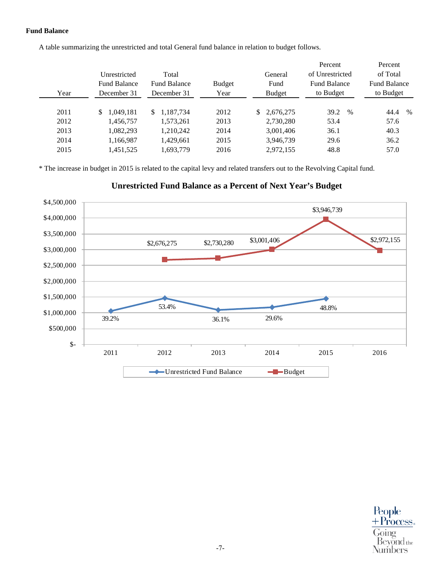#### **Fund Balance**

A table summarizing the unrestricted and total General fund balance in relation to budget follows.

| Year | Unrestricted<br><b>Fund Balance</b><br>December 31 | Total<br><b>Fund Balance</b><br>December 31 | <b>Budget</b><br>Year | General<br>Fund<br>Budget | Percent<br>of Unrestricted<br><b>Fund Balance</b><br>to Budget | Percent<br>of Total<br><b>Fund Balance</b><br>to Budget |
|------|----------------------------------------------------|---------------------------------------------|-----------------------|---------------------------|----------------------------------------------------------------|---------------------------------------------------------|
| 2011 | 1.049.181                                          | 1,187,734<br>S.                             | 2012                  | \$2,676,275               | 39.2<br>$\%$                                                   | 44.4<br>$\%$                                            |
| 2012 | 1,456,757                                          | 1,573,261                                   | 2013                  | 2,730,280                 | 53.4                                                           | 57.6                                                    |
| 2013 | 1,082,293                                          | 1.210.242                                   | 2014                  | 3,001,406                 | 36.1                                                           | 40.3                                                    |
| 2014 | 1,166,987                                          | 1,429,661                                   | 2015                  | 3,946,739                 | 29.6                                                           | 36.2                                                    |
| 2015 | 1,451,525                                          | 1,693,779                                   | 2016                  | 2,972,155                 | 48.8                                                           | 57.0                                                    |

\* The increase in budget in 2015 is related to the capital levy and related transfers out to the Revolving Capital fund.



**Unrestricted Fund Balance as a Percent of Next Year's Budget**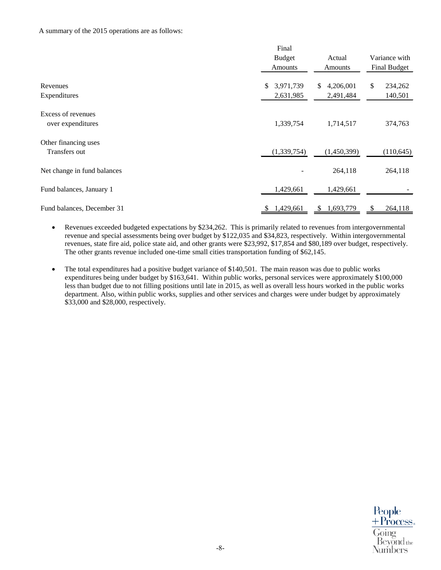#### A summary of the 2015 operations are as follows:

|                                    | Final                        |                              |                          |
|------------------------------------|------------------------------|------------------------------|--------------------------|
|                                    | <b>Budget</b>                | Actual                       | Variance with            |
| over expenditures<br>Transfers out | <b>Amounts</b>               | <b>Amounts</b>               | Final Budget             |
| Revenues<br>Expenditures           | 3,971,739<br>\$<br>2,631,985 | 4,206,001<br>\$<br>2,491,484 | \$<br>234,262<br>140,501 |
| Excess of revenues                 | 1,339,754                    | 1,714,517                    | 374,763                  |
| Other financing uses               | (1,339,754)                  | (1,450,399)                  | (110, 645)               |
| Net change in fund balances        |                              | 264,118                      | 264,118                  |
| Fund balances, January 1           | 1,429,661                    | 1,429,661                    |                          |
| Fund balances, December 31         | 1,429,661<br>\$              | 1,693,779<br>\$              | \$<br>264,118            |

- Revenues exceeded budgeted expectations by \$234,262. This is primarily related to revenues from intergovernmental revenue and special assessments being over budget by \$122,035 and \$34,823, respectively. Within intergovernmental revenues, state fire aid, police state aid, and other grants were \$23,992, \$17,854 and \$80,189 over budget, respectively. The other grants revenue included one-time small cities transportation funding of \$62,145.
- The total expenditures had a positive budget variance of \$140,501. The main reason was due to public works expenditures being under budget by \$163,641. Within public works, personal services were approximately \$100,000 less than budget due to not filling positions until late in 2015, as well as overall less hours worked in the public works department. Also, within public works, supplies and other services and charges were under budget by approximately \$33,000 and \$28,000, respectively.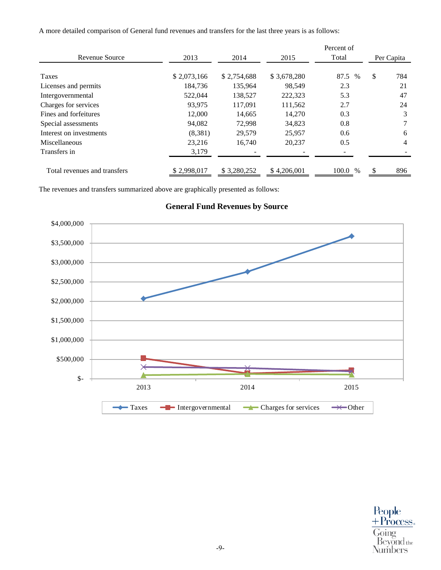A more detailed comparison of General fund revenues and transfers for the last three years is as follows:

|                              |             |             |             | Percent of |            |     |
|------------------------------|-------------|-------------|-------------|------------|------------|-----|
| Revenue Source               | 2013        | 2014        | 2015        | Total      | Per Capita |     |
| Taxes                        | \$2,073,166 | \$2,754,688 | \$3,678,280 | 87.5 %     | \$         | 784 |
| Licenses and permits         | 184.736     | 135.964     | 98.549      | 2.3        |            | 21  |
| Intergovernmental            | 522,044     | 138,527     | 222,323     | 5.3        |            | 47  |
| Charges for services         | 93.975      | 117,091     | 111,562     | 2.7        |            | 24  |
| Fines and forfeitures        | 12,000      | 14,665      | 14,270      | 0.3        |            | 3   |
| Special assessments          | 94,082      | 72,998      | 34,823      | 0.8        |            | 7   |
| Interest on investments      | (8,381)     | 29.579      | 25,957      | 0.6        |            | 6   |
| Miscellaneous                | 23,216      | 16,740      | 20,237      | 0.5        |            | 4   |
| Transfers in                 | 3,179       |             |             |            |            |     |
| Total revenues and transfers | \$2,998,017 | \$3,280,252 | \$4,206,001 | 100.0 %    |            | 896 |

The revenues and transfers summarized above are graphically presented as follows:



# **General Fund Revenues by Source**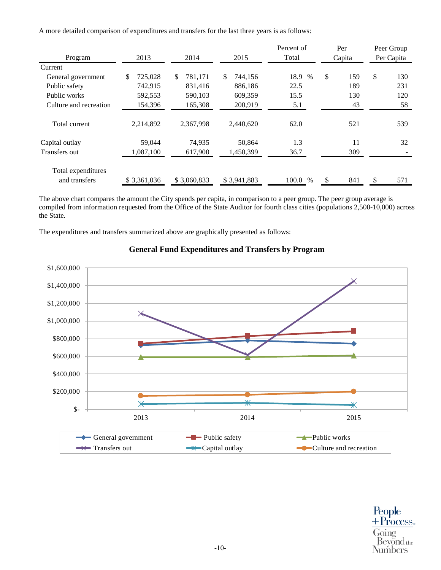A more detailed comparison of expenditures and transfers for the last three years is as follows:

|                                     |               |                |                | Percent of    |        | Per |            | Peer Group |  |
|-------------------------------------|---------------|----------------|----------------|---------------|--------|-----|------------|------------|--|
| Program                             | 2013          | 2014           | 2015           | Total         | Capita |     | Per Capita |            |  |
| Current                             |               |                |                |               |        |     |            |            |  |
| General government                  | \$<br>725,028 | \$.<br>781,171 | \$.<br>744.156 | 18.9<br>$\%$  | \$     | 159 | \$         | 130        |  |
| Public safety                       | 742,915       | 831,416        | 886,186        | 22.5          |        | 189 |            | 231        |  |
| Public works                        | 592,553       | 590.103        | 609,359        | 15.5          |        | 130 |            | 120        |  |
| Culture and recreation              | 154,396       | 165,308        | 200,919        | 5.1           |        | 43  |            | 58         |  |
| Total current                       | 2,214,892     | 2,367,998      | 2.440.620      | 62.0          |        | 521 |            | 539        |  |
| Capital outlay                      | 59,044        | 74,935         | 50,864         | 1.3           |        | 11  |            | 32         |  |
| Transfers out                       | 1,087,100     | 617.900        | 1,450,399      | 36.7          |        | 309 |            |            |  |
| Total expenditures<br>and transfers | \$3,361,036   | \$3,060,833    | \$3,941,883    | 100.0<br>$\%$ |        | 841 | \$         | 571        |  |

The above chart compares the amount the City spends per capita, in comparison to a peer group. The peer group average is compiled from information requested from the Office of the State Auditor for fourth class cities (populations 2,500-10,000) across the State.

The expenditures and transfers summarized above are graphically presented as follows:



# **General Fund Expenditures and Transfers by Program**

People  $+$ Process. cuio Bevond the Numbers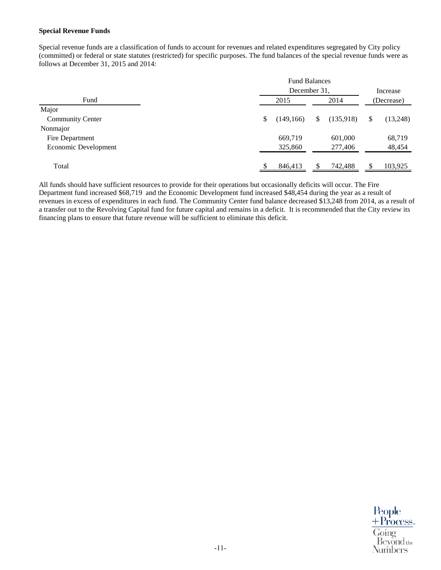#### **Special Revenue Funds**

Special revenue funds are a classification of funds to account for revenues and related expenditures segregated by City policy (committed) or federal or state statutes (restricted) for specific purposes. The fund balances of the special revenue funds were as follows at December 31, 2015 and 2014:

|                         |    | December 31, |    |           |    |            |  |  |
|-------------------------|----|--------------|----|-----------|----|------------|--|--|
| Fund                    |    | 2015         |    | 2014      |    | (Decrease) |  |  |
| Major                   |    |              |    |           |    |            |  |  |
| <b>Community Center</b> | \$ | (149, 166)   | \$ | (135,918) | S  | (13,248)   |  |  |
| Nonmajor                |    |              |    |           |    |            |  |  |
| Fire Department         |    | 669,719      |    | 601,000   |    | 68,719     |  |  |
| Economic Development    |    | 325,860      |    | 277,406   |    | 48,454     |  |  |
|                         |    |              |    |           |    |            |  |  |
| Total                   |    | 846,413      | \$ | 742,488   | £. | 103,925    |  |  |
|                         |    |              |    |           |    |            |  |  |

All funds should have sufficient resources to provide for their operations but occasionally deficits will occur. The Fire Department fund increased \$68,719 and the Economic Development fund increased \$48,454 during the year as a result of revenues in excess of expenditures in each fund. The Community Center fund balance decreased \$13,248 from 2014, as a result of a transfer out to the Revolving Capital fund for future capital and remains in a deficit. It is recommended that the City review its financing plans to ensure that future revenue will be sufficient to eliminate this deficit.

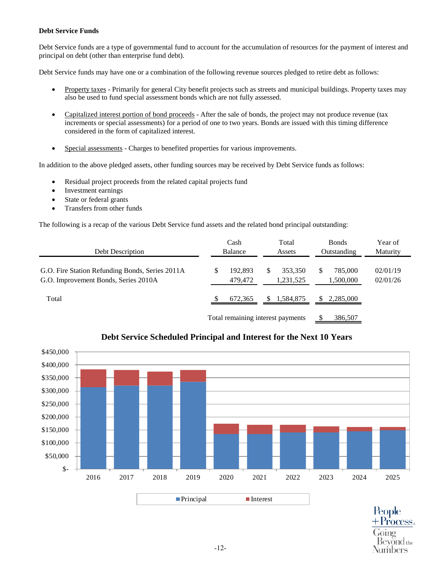#### **Debt Service Funds**

Debt Service funds are a type of governmental fund to account for the accumulation of resources for the payment of interest and principal on debt (other than enterprise fund debt).

Debt Service funds may have one or a combination of the following revenue sources pledged to retire debt as follows:

- Property taxes Primarily for general City benefit projects such as streets and municipal buildings. Property taxes may also be used to fund special assessment bonds which are not fully assessed.
- Capitalized interest portion of bond proceeds After the sale of bonds, the project may not produce revenue (tax increments or special assessments) for a period of one to two years. Bonds are issued with this timing difference considered in the form of capitalized interest.
- Special assessments Charges to benefited properties for various improvements.

In addition to the above pledged assets, other funding sources may be received by Debt Service funds as follows:

- Residual project proceeds from the related capital projects fund
- Investment earnings
- State or federal grants
- Transfers from other funds

The following is a recap of the various Debt Service fund assets and the related bond principal outstanding:

| Debt Description                                                                        |   | Cash<br>Balance                   |    | Total<br>Assets      |   | <b>Bonds</b><br>Outstanding | Year of<br>Maturity  |
|-----------------------------------------------------------------------------------------|---|-----------------------------------|----|----------------------|---|-----------------------------|----------------------|
| G.O. Fire Station Refunding Bonds, Series 2011A<br>G.O. Improvement Bonds, Series 2010A | S | 192.893<br>479,472                | S  | 353,350<br>1,231,525 | S | 785,000<br>1,500,000        | 02/01/19<br>02/01/26 |
| Total                                                                                   |   | 672,365                           | S. | 1,584,875            |   | 2,285,000                   |                      |
|                                                                                         |   | Total remaining interest payments |    |                      |   | 386,507                     |                      |



# **Debt Service Scheduled Principal and Interest for the Next 10 Years**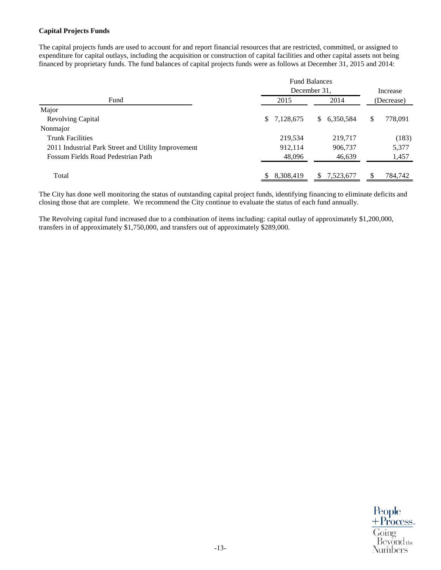#### **Capital Projects Funds**

The capital projects funds are used to account for and report financial resources that are restricted, committed, or assigned to expenditure for capital outlays, including the acquisition or construction of capital facilities and other capital assets not being financed by proprietary funds. The fund balances of capital projects funds were as follows at December 31, 2015 and 2014:

|                                                     | <b>Fund Balances</b> |                 |            |         |
|-----------------------------------------------------|----------------------|-----------------|------------|---------|
|                                                     | December 31.         | Increase        |            |         |
| Fund                                                | 2015                 | 2014            | (Decrease) |         |
| Major                                               |                      |                 |            |         |
| <b>Revolving Capital</b>                            | 7,128,675<br>S.      | 6,350,584<br>S. | \$         | 778,091 |
| Nonmajor                                            |                      |                 |            |         |
| <b>Trunk Facilities</b>                             | 219,534              | 219,717         |            | (183)   |
| 2011 Industrial Park Street and Utility Improvement | 912,114              | 906,737         |            | 5,377   |
| Fossum Fields Road Pedestrian Path                  | 48,096               | 46,639          |            | 1,457   |
| Total                                               | 8,308,419<br>S       | 7,523,677       |            | 784,742 |

The City has done well monitoring the status of outstanding capital project funds, identifying financing to eliminate deficits and closing those that are complete. We recommend the City continue to evaluate the status of each fund annually.

The Revolving capital fund increased due to a combination of items including: capital outlay of approximately \$1,200,000, transfers in of approximately \$1,750,000, and transfers out of approximately \$289,000.

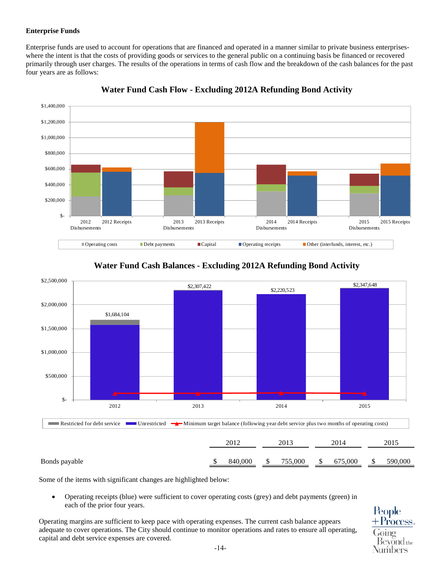#### **Enterprise Funds**

Enterprise funds are used to account for operations that are financed and operated in a manner similar to private business enterpriseswhere the intent is that the costs of providing goods or services to the general public on a continuing basis be financed or recovered primarily through user charges. The results of the operations in terms of cash flow and the breakdown of the cash balances for the past four years are as follows:





# \$1,684,104 \$2,307,422 \$2,220,523 \$2,347,648 \$- \$500,000 \$1,000,000 \$1,500,000 \$2,000,000 \$2,500,000 2012 2013 2014 2015 Restricted for debt service Unrestricted  $\rightarrow$  Minimum target balance (following year debt service plus two months of operating costs) 2012 2013 2014 2015

### **Water Fund Cash Balances - Excluding 2012A Refunding Bond Activity**

Bonds payable **8 840,000** \$ 755,000 \$ 675,000 \$ 590,000

Some of the items with significant changes are highlighted below:

• Operating receipts (blue) were sufficient to cover operating costs (grey) and debt payments (green) in each of the prior four years.

Operating margins are sufficient to keep pace with operating expenses. The current cash balance appears adequate to cover operations. The City should continue to monitor operations and rates to ensure all operating, capital and debt service expenses are covered.

People  $+$  Process. aino Bevond the Numbers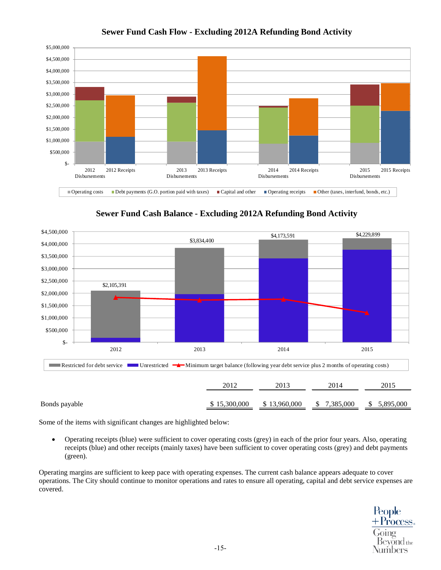

**Sewer Fund Cash Flow - Excluding 2012A Refunding Bond Activity**





Some of the items with significant changes are highlighted below:

• Operating receipts (blue) were sufficient to cover operating costs (grey) in each of the prior four years. Also, operating receipts (blue) and other receipts (mainly taxes) have been sufficient to cover operating costs (grey) and debt payments (green).

Operating margins are sufficient to keep pace with operating expenses. The current cash balance appears adequate to cover operations. The City should continue to monitor operations and rates to ensure all operating, capital and debt service expenses are covered.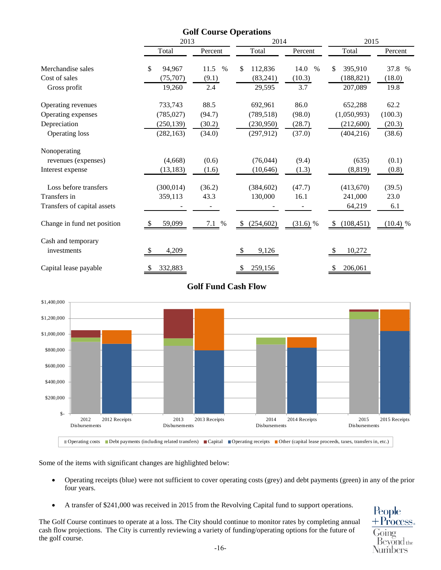|                             | <b>Golf Course Operations</b> |              |                  |              |                  |            |  |
|-----------------------------|-------------------------------|--------------|------------------|--------------|------------------|------------|--|
|                             | 2013                          |              | 2014             |              | 2015             |            |  |
|                             | Total                         | Percent      | Total            | Percent      | Total            | Percent    |  |
| Merchandise sales           | \$<br>94,967                  | 11.5<br>$\%$ | \$<br>112,836    | 14.0<br>$\%$ | 395,910<br>\$    | 37.8 %     |  |
| Cost of sales               | (75, 707)                     | (9.1)        | (83,241)         | (10.3)       | (188, 821)       | (18.0)     |  |
| Gross profit                | 19,260                        | 2.4          | 29,595           | 3.7          | 207,089          | 19.8       |  |
| Operating revenues          | 733,743                       | 88.5         | 692,961          | 86.0         | 652,288          | 62.2       |  |
| Operating expenses          | (785, 027)                    | (94.7)       | (789, 518)       | (98.0)       | (1,050,993)      | (100.3)    |  |
| Depreciation                | (250, 139)                    | (30.2)       | (230,950)        | (28.7)       | (212,600)        | (20.3)     |  |
| Operating loss              | (282, 163)                    | (34.0)       | (297, 912)       | (37.0)       | (404, 216)       | (38.6)     |  |
| Nonoperating                |                               |              |                  |              |                  |            |  |
| revenues (expenses)         | (4,668)                       | (0.6)        | (76, 044)        | (9.4)        | (635)            | (0.1)      |  |
| Interest expense            | (13, 183)                     | (1.6)        | (10, 646)        | (1.3)        | (8, 819)         | (0.8)      |  |
| Loss before transfers       | (300, 014)                    | (36.2)       | (384, 602)       | (47.7)       | (413,670)        | (39.5)     |  |
| Transfers in                | 359,113                       | 43.3         | 130,000          | 16.1         | 241,000          | 23.0       |  |
| Transfers of capital assets |                               |              |                  |              | 64,219           | 6.1        |  |
| Change in fund net position | 59,099<br>-S                  | 7.1<br>%     | (254, 602)<br>S. | $(31.6)$ %   | (108, 451)<br>-S | $(10.4)$ % |  |
| Cash and temporary          |                               |              |                  |              |                  |            |  |
| investments                 | 4,209                         |              | 9,126            |              | 10,272           |            |  |
| Capital lease payable       | 332,883<br>\$                 |              | 259,156<br>\$    |              | 206,061<br>\$    |            |  |

## **Golf Fund Cash Flow**



Some of the items with significant changes are highlighted below:

- Operating receipts (blue) were not sufficient to cover operating costs (grey) and debt payments (green) in any of the prior four years.
- A transfer of \$241,000 was received in 2015 from the Revolving Capital fund to support operations.

The Golf Course continues to operate at a loss. The City should continue to monitor rates by completing annual cash flow projections. The City is currently reviewing a variety of funding/operating options for the future of the golf course.

 $\begin{array}{l} \text{People} \\ + \text{Process}. \end{array}$ Going  $\operatorname{Bevond}$ <sub>the</sub> Numbers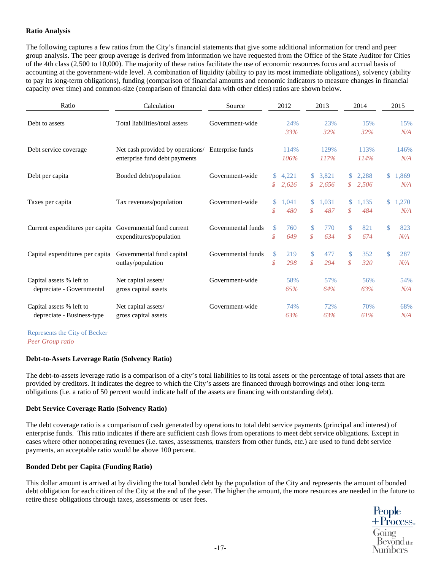#### **Ratio Analysis**

The following captures a few ratios from the City's financial statements that give some additional information for trend and peer group analysis. The peer group average is derived from information we have requested from the Office of the State Auditor for Cities of the 4th class (2,500 to 10,000). The majority of these ratios facilitate the use of economic resources focus and accrual basis of accounting at the government-wide level. A combination of liquidity (ability to pay its most immediate obligations), solvency (ability to pay its long-term obligations), funding (comparison of financial amounts and economic indicators to measure changes in financial capacity over time) and common-size (comparison of financial data with other cities) ratios are shown below.

| Ratio                                                     | Calculation                                                       | Source             |                                   | 2012             |                                    | 2013           |                                | 2014           |                | 2015         |
|-----------------------------------------------------------|-------------------------------------------------------------------|--------------------|-----------------------------------|------------------|------------------------------------|----------------|--------------------------------|----------------|----------------|--------------|
| Debt to assets                                            | Total liabilities/total assets                                    | Government-wide    |                                   | 24%<br>33%       |                                    | 23%<br>32%     |                                | 15%<br>32%     |                | 15%<br>N/A   |
| Debt service coverage                                     | Net cash provided by operations/<br>enterprise fund debt payments | Enterprise funds   |                                   | 114%<br>106%     |                                    | 129%<br>117%   |                                | 113%<br>114%   |                | 146%<br>N/A  |
| Debt per capita                                           | Bonded debt/population                                            | Government-wide    | \$                                | \$4,221<br>2,626 | S.<br>\$                           | 3,821<br>2,656 | <sup>\$</sup><br>$\mathcal{S}$ | 2,288<br>2,506 | $\mathbb{S}^-$ | 1,869<br>N/A |
| Taxes per capita                                          | Tax revenues/population                                           | Government-wide    | \$<br>\$                          | 1,041<br>480     | \$<br>$\mathcal{S}_{0}$            | 1,031<br>487   | S.<br>\$                       | 1,135<br>484   | $\mathbb{S}^-$ | 1,270<br>N/A |
| Current expenditures per capita Governmental fund current | expenditures/population                                           | Governmental funds | \$<br>$\mathcal{S}_{\mathcal{S}}$ | 760<br>649       | $\mathbf{\$}$<br>$\mathcal{S}_{0}$ | 770<br>634     | $\mathbf{\$}$<br>$\mathcal{S}$ | 821<br>674     | \$             | 823<br>N/A   |
| Capital expenditures per capita                           | Governmental fund capital<br>outlay/population                    | Governmental funds | \$<br>$\mathcal{S}_{0}$           | 219<br>298       | $\mathbf{\$}$<br>\$                | 477<br>294     | $\mathbf{\$}$<br>\$            | 352<br>320     | $\mathbb{S}$   | 287<br>N/A   |
| Capital assets % left to<br>depreciate - Governmental     | Net capital assets/<br>gross capital assets                       | Government-wide    |                                   | 58%<br>65%       |                                    | 57%<br>64%     |                                | 56%<br>63%     |                | 54%<br>N/A   |
| Capital assets % left to<br>depreciate - Business-type    | Net capital assets/<br>gross capital assets                       | Government-wide    |                                   | 74%<br>63%       |                                    | 72%<br>63%     |                                | 70%<br>61%     |                | 68%<br>N/A   |
| Represents the City of Becker                             |                                                                   |                    |                                   |                  |                                    |                |                                |                |                |              |

*Peer Group ratio*

#### **Debt-to-Assets Leverage Ratio (Solvency Ratio)**

The debt-to-assets leverage ratio is a comparison of a city's total liabilities to its total assets or the percentage of total assets that are provided by creditors. It indicates the degree to which the City's assets are financed through borrowings and other long-term obligations (i.e. a ratio of 50 percent would indicate half of the assets are financing with outstanding debt).

#### **Debt Service Coverage Ratio (Solvency Ratio)**

The debt coverage ratio is a comparison of cash generated by operations to total debt service payments (principal and interest) of enterprise funds. This ratio indicates if there are sufficient cash flows from operations to meet debt service obligations. Except in cases where other nonoperating revenues (i.e. taxes, assessments, transfers from other funds, etc.) are used to fund debt service payments, an acceptable ratio would be above 100 percent.

#### **Bonded Debt per Capita (Funding Ratio)**

This dollar amount is arrived at by dividing the total bonded debt by the population of the City and represents the amount of bonded debt obligation for each citizen of the City at the end of the year. The higher the amount, the more resources are needed in the future to retire these obligations through taxes, assessments or user fees.

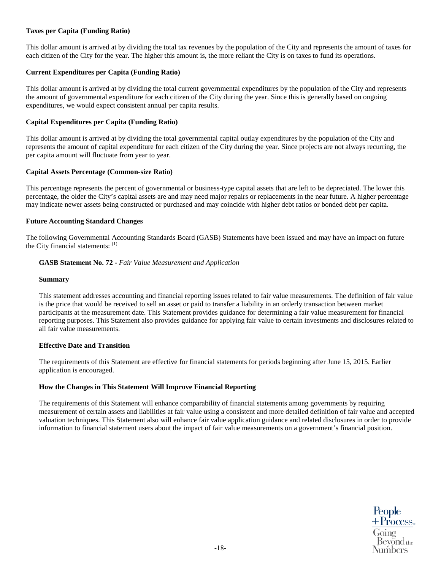#### **Taxes per Capita (Funding Ratio)**

This dollar amount is arrived at by dividing the total tax revenues by the population of the City and represents the amount of taxes for each citizen of the City for the year. The higher this amount is, the more reliant the City is on taxes to fund its operations.

#### **Current Expenditures per Capita (Funding Ratio)**

This dollar amount is arrived at by dividing the total current governmental expenditures by the population of the City and represents the amount of governmental expenditure for each citizen of the City during the year. Since this is generally based on ongoing expenditures, we would expect consistent annual per capita results.

#### **Capital Expenditures per Capita (Funding Ratio)**

This dollar amount is arrived at by dividing the total governmental capital outlay expenditures by the population of the City and represents the amount of capital expenditure for each citizen of the City during the year. Since projects are not always recurring, the per capita amount will fluctuate from year to year.

#### **Capital Assets Percentage (Common-size Ratio)**

This percentage represents the percent of governmental or business-type capital assets that are left to be depreciated. The lower this percentage, the older the City's capital assets are and may need major repairs or replacements in the near future. A higher percentage may indicate newer assets being constructed or purchased and may coincide with higher debt ratios or bonded debt per capita.

#### **Future Accounting Standard Changes**

The following Governmental Accounting Standards Board (GASB) Statements have been issued and may have an impact on future the City financial statements: (1)

#### **GASB Statement No. 72 -** *Fair Value Measurement and Application*

#### **Summary**

This statement addresses accounting and financial reporting issues related to fair value measurements. The definition of fair value is the price that would be received to sell an asset or paid to transfer a liability in an orderly transaction between market participants at the measurement date. This Statement provides guidance for determining a fair value measurement for financial reporting purposes. This Statement also provides guidance for applying fair value to certain investments and disclosures related to all fair value measurements.

#### **Effective Date and Transition**

The requirements of this Statement are effective for financial statements for periods beginning after June 15, 2015. Earlier application is encouraged.

#### **How the Changes in This Statement Will Improve Financial Reporting**

The requirements of this Statement will enhance comparability of financial statements among governments by requiring measurement of certain assets and liabilities at fair value using a consistent and more detailed definition of fair value and accepted valuation techniques. This Statement also will enhance fair value application guidance and related disclosures in order to provide information to financial statement users about the impact of fair value measurements on a government's financial position.

> People + Process.  $Going$ Bevond<sub>the</sub> Numbers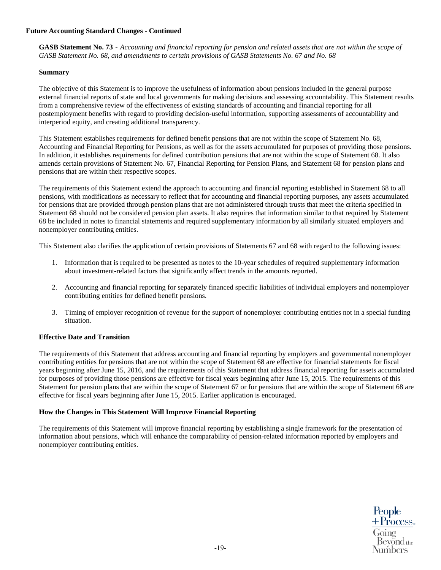**GASB Statement No. 73** - *Accounting and financial reporting for pension and related assets that are not within the scope of GASB Statement No. 68, and amendments to certain provisions of GASB Statements No. 67 and No. 68*

#### **Summary**

The objective of this Statement is to improve the usefulness of information about pensions included in the general purpose external financial reports of state and local governments for making decisions and assessing accountability. This Statement results from a comprehensive review of the effectiveness of existing standards of accounting and financial reporting for all postemployment benefits with regard to providing decision-useful information, supporting assessments of accountability and interperiod equity, and creating additional transparency.

This Statement establishes requirements for defined benefit pensions that are not within the scope of Statement No. 68, Accounting and Financial Reporting for Pensions, as well as for the assets accumulated for purposes of providing those pensions. In addition, it establishes requirements for defined contribution pensions that are not within the scope of Statement 68. It also amends certain provisions of Statement No. 67, Financial Reporting for Pension Plans, and Statement 68 for pension plans and pensions that are within their respective scopes.

The requirements of this Statement extend the approach to accounting and financial reporting established in Statement 68 to all pensions, with modifications as necessary to reflect that for accounting and financial reporting purposes, any assets accumulated for pensions that are provided through pension plans that are not administered through trusts that meet the criteria specified in Statement 68 should not be considered pension plan assets. It also requires that information similar to that required by Statement 68 be included in notes to financial statements and required supplementary information by all similarly situated employers and nonemployer contributing entities.

This Statement also clarifies the application of certain provisions of Statements 67 and 68 with regard to the following issues:

- 1. Information that is required to be presented as notes to the 10-year schedules of required supplementary information about investment-related factors that significantly affect trends in the amounts reported.
- 2. Accounting and financial reporting for separately financed specific liabilities of individual employers and nonemployer contributing entities for defined benefit pensions.
- 3. Timing of employer recognition of revenue for the support of nonemployer contributing entities not in a special funding situation.

#### **Effective Date and Transition**

The requirements of this Statement that address accounting and financial reporting by employers and governmental nonemployer contributing entities for pensions that are not within the scope of Statement 68 are effective for financial statements for fiscal years beginning after June 15, 2016, and the requirements of this Statement that address financial reporting for assets accumulated for purposes of providing those pensions are effective for fiscal years beginning after June 15, 2015. The requirements of this Statement for pension plans that are within the scope of Statement 67 or for pensions that are within the scope of Statement 68 are effective for fiscal years beginning after June 15, 2015. Earlier application is encouraged.

#### **How the Changes in This Statement Will Improve Financial Reporting**

The requirements of this Statement will improve financial reporting by establishing a single framework for the presentation of information about pensions, which will enhance the comparability of pension-related information reported by employers and nonemployer contributing entities.

> People  $+$ Process.  $\frac{1100}{\text{Going}}$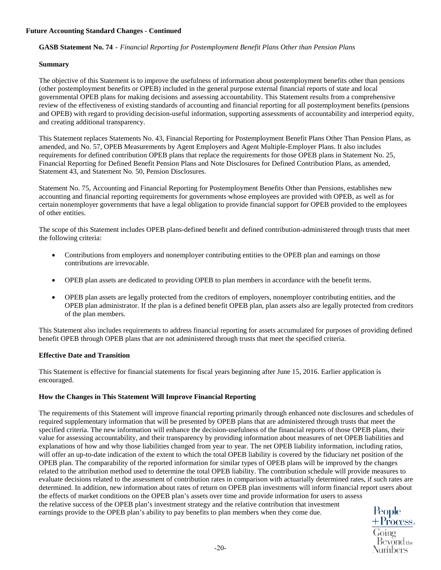#### **GASB Statement No. 74** - *Financial Reporting for Postemployment Benefit Plans Other than Pension Plans*

#### **Summary**

The objective of this Statement is to improve the usefulness of information about postemployment benefits other than pensions (other postemployment benefits or OPEB) included in the general purpose external financial reports of state and local governmental OPEB plans for making decisions and assessing accountability. This Statement results from a comprehensive review of the effectiveness of existing standards of accounting and financial reporting for all postemployment benefits (pensions and OPEB) with regard to providing decision-useful information, supporting assessments of accountability and interperiod equity, and creating additional transparency.

This Statement replaces Statements No. 43, Financial Reporting for Postemployment Benefit Plans Other Than Pension Plans, as amended, and No. 57, OPEB Measurements by Agent Employers and Agent Multiple-Employer Plans. It also includes requirements for defined contribution OPEB plans that replace the requirements for those OPEB plans in Statement No. 25, Financial Reporting for Defined Benefit Pension Plans and Note Disclosures for Defined Contribution Plans, as amended, Statement 43, and Statement No. 50, Pension Disclosures.

Statement No. 75, Accounting and Financial Reporting for Postemployment Benefits Other than Pensions, establishes new accounting and financial reporting requirements for governments whose employees are provided with OPEB, as well as for certain nonemployer governments that have a legal obligation to provide financial support for OPEB provided to the employees of other entities.

The scope of this Statement includes OPEB plans-defined benefit and defined contribution-administered through trusts that meet the following criteria:

- Contributions from employers and nonemployer contributing entities to the OPEB plan and earnings on those contributions are irrevocable.
- OPEB plan assets are dedicated to providing OPEB to plan members in accordance with the benefit terms.
- OPEB plan assets are legally protected from the creditors of employers, nonemployer contributing entities, and the OPEB plan administrator. If the plan is a defined benefit OPEB plan, plan assets also are legally protected from creditors of the plan members.

This Statement also includes requirements to address financial reporting for assets accumulated for purposes of providing defined benefit OPEB through OPEB plans that are not administered through trusts that meet the specified criteria.

#### **Effective Date and Transition**

This Statement is effective for financial statements for fiscal years beginning after June 15, 2016. Earlier application is encouraged.

#### **How the Changes in This Statement Will Improve Financial Reporting**

The requirements of this Statement will improve financial reporting primarily through enhanced note disclosures and schedules of required supplementary information that will be presented by OPEB plans that are administered through trusts that meet the specified criteria. The new information will enhance the decision-usefulness of the financial reports of those OPEB plans, their value for assessing accountability, and their transparency by providing information about measures of net OPEB liabilities and explanations of how and why those liabilities changed from year to year. The net OPEB liability information, including ratios, will offer an up-to-date indication of the extent to which the total OPEB liability is covered by the fiduciary net position of the OPEB plan. The comparability of the reported information for similar types of OPEB plans will be improved by the changes related to the attribution method used to determine the total OPEB liability. The contribution schedule will provide measures to evaluate decisions related to the assessment of contribution rates in comparison with actuarially determined rates, if such rates are determined. In addition, new information about rates of return on OPEB plan investments will inform financial report users about the effects of market conditions on the OPEB plan's assets over time and provide information for users to assess the relative success of the OPEB plan's investment strategy and the relative contribution that investment People earnings provide to the OPEB plan's ability to pay benefits to plan members when they come due.

 $+$ Process.  $B$ evond<sub>the</sub> Numbers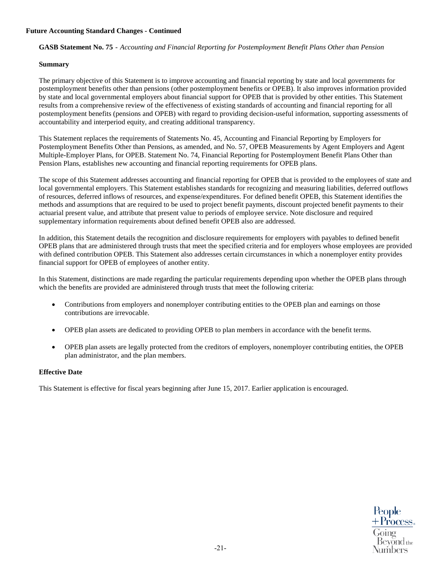#### **GASB Statement No. 75** - *Accounting and Financial Reporting for Postemployment Benefit Plans Other than Pension*

#### **Summary**

The primary objective of this Statement is to improve accounting and financial reporting by state and local governments for postemployment benefits other than pensions (other postemployment benefits or OPEB). It also improves information provided by state and local governmental employers about financial support for OPEB that is provided by other entities. This Statement results from a comprehensive review of the effectiveness of existing standards of accounting and financial reporting for all postemployment benefits (pensions and OPEB) with regard to providing decision-useful information, supporting assessments of accountability and interperiod equity, and creating additional transparency.

This Statement replaces the requirements of Statements No. 45, Accounting and Financial Reporting by Employers for Postemployment Benefits Other than Pensions, as amended, and No. 57, OPEB Measurements by Agent Employers and Agent Multiple-Employer Plans, for OPEB. Statement No. 74, Financial Reporting for Postemployment Benefit Plans Other than Pension Plans, establishes new accounting and financial reporting requirements for OPEB plans.

The scope of this Statement addresses accounting and financial reporting for OPEB that is provided to the employees of state and local governmental employers. This Statement establishes standards for recognizing and measuring liabilities, deferred outflows of resources, deferred inflows of resources, and expense/expenditures. For defined benefit OPEB, this Statement identifies the methods and assumptions that are required to be used to project benefit payments, discount projected benefit payments to their actuarial present value, and attribute that present value to periods of employee service. Note disclosure and required supplementary information requirements about defined benefit OPEB also are addressed.

In addition, this Statement details the recognition and disclosure requirements for employers with payables to defined benefit OPEB plans that are administered through trusts that meet the specified criteria and for employers whose employees are provided with defined contribution OPEB. This Statement also addresses certain circumstances in which a nonemployer entity provides financial support for OPEB of employees of another entity.

In this Statement, distinctions are made regarding the particular requirements depending upon whether the OPEB plans through which the benefits are provided are administered through trusts that meet the following criteria:

- Contributions from employers and nonemployer contributing entities to the OPEB plan and earnings on those contributions are irrevocable.
- OPEB plan assets are dedicated to providing OPEB to plan members in accordance with the benefit terms.
- OPEB plan assets are legally protected from the creditors of employers, nonemployer contributing entities, the OPEB plan administrator, and the plan members.

#### **Effective Date**

This Statement is effective for fiscal years beginning after June 15, 2017. Earlier application is encouraged.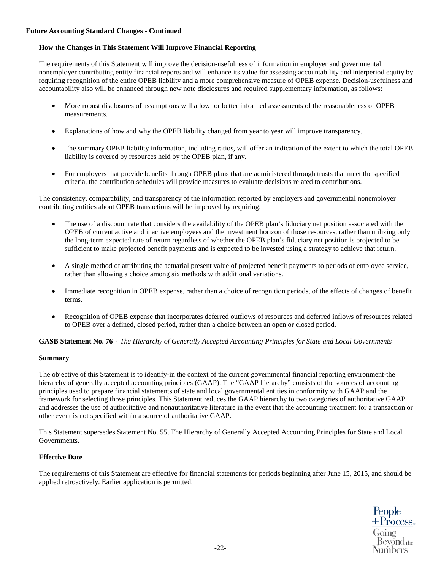#### **How the Changes in This Statement Will Improve Financial Reporting**

The requirements of this Statement will improve the decision-usefulness of information in employer and governmental nonemployer contributing entity financial reports and will enhance its value for assessing accountability and interperiod equity by requiring recognition of the entire OPEB liability and a more comprehensive measure of OPEB expense. Decision-usefulness and accountability also will be enhanced through new note disclosures and required supplementary information, as follows:

- More robust disclosures of assumptions will allow for better informed assessments of the reasonableness of OPEB measurements.
- Explanations of how and why the OPEB liability changed from year to year will improve transparency.
- The summary OPEB liability information, including ratios, will offer an indication of the extent to which the total OPEB liability is covered by resources held by the OPEB plan, if any.
- For employers that provide benefits through OPEB plans that are administered through trusts that meet the specified criteria, the contribution schedules will provide measures to evaluate decisions related to contributions.

The consistency, comparability, and transparency of the information reported by employers and governmental nonemployer contributing entities about OPEB transactions will be improved by requiring:

- The use of a discount rate that considers the availability of the OPEB plan's fiduciary net position associated with the OPEB of current active and inactive employees and the investment horizon of those resources, rather than utilizing only the long-term expected rate of return regardless of whether the OPEB plan's fiduciary net position is projected to be sufficient to make projected benefit payments and is expected to be invested using a strategy to achieve that return.
- A single method of attributing the actuarial present value of projected benefit payments to periods of employee service, rather than allowing a choice among six methods with additional variations.
- Immediate recognition in OPEB expense, rather than a choice of recognition periods, of the effects of changes of benefit terms.
- Recognition of OPEB expense that incorporates deferred outflows of resources and deferred inflows of resources related to OPEB over a defined, closed period, rather than a choice between an open or closed period.

**GASB Statement No. 76** - *The Hierarchy of Generally Accepted Accounting Principles for State and Local Governments*

#### **Summary**

The objective of this Statement is to identify-in the context of the current governmental financial reporting environment-the hierarchy of generally accepted accounting principles (GAAP). The "GAAP hierarchy" consists of the sources of accounting principles used to prepare financial statements of state and local governmental entities in conformity with GAAP and the framework for selecting those principles. This Statement reduces the GAAP hierarchy to two categories of authoritative GAAP and addresses the use of authoritative and nonauthoritative literature in the event that the accounting treatment for a transaction or other event is not specified within a source of authoritative GAAP.

This Statement supersedes Statement No. 55, The Hierarchy of Generally Accepted Accounting Principles for State and Local Governments.

#### **Effective Date**

The requirements of this Statement are effective for financial statements for periods beginning after June 15, 2015, and should be applied retroactively. Earlier application is permitted.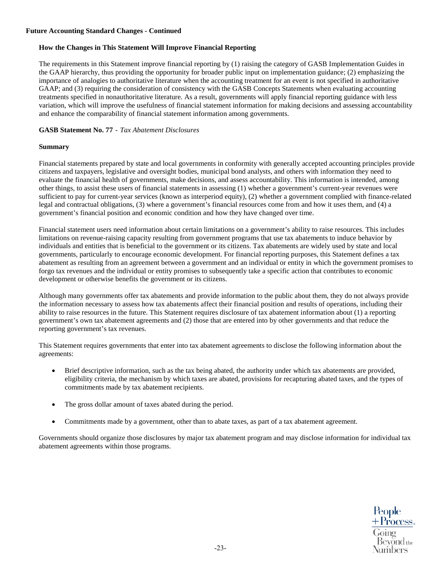#### **How the Changes in This Statement Will Improve Financial Reporting**

The requirements in this Statement improve financial reporting by (1) raising the category of GASB Implementation Guides in the GAAP hierarchy, thus providing the opportunity for broader public input on implementation guidance; (2) emphasizing the importance of analogies to authoritative literature when the accounting treatment for an event is not specified in authoritative GAAP; and (3) requiring the consideration of consistency with the GASB Concepts Statements when evaluating accounting treatments specified in nonauthoritative literature. As a result, governments will apply financial reporting guidance with less variation, which will improve the usefulness of financial statement information for making decisions and assessing accountability and enhance the comparability of financial statement information among governments.

#### **GASB Statement No. 77** - *Tax Abatement Disclosures*

#### **Summary**

Financial statements prepared by state and local governments in conformity with generally accepted accounting principles provide citizens and taxpayers, legislative and oversight bodies, municipal bond analysts, and others with information they need to evaluate the financial health of governments, make decisions, and assess accountability. This information is intended, among other things, to assist these users of financial statements in assessing (1) whether a government's current-year revenues were sufficient to pay for current-year services (known as interperiod equity), (2) whether a government complied with finance-related legal and contractual obligations, (3) where a government's financial resources come from and how it uses them, and (4) a government's financial position and economic condition and how they have changed over time.

Financial statement users need information about certain limitations on a government's ability to raise resources. This includes limitations on revenue-raising capacity resulting from government programs that use tax abatements to induce behavior by individuals and entities that is beneficial to the government or its citizens. Tax abatements are widely used by state and local governments, particularly to encourage economic development. For financial reporting purposes, this Statement defines a tax abatement as resulting from an agreement between a government and an individual or entity in which the government promises to forgo tax revenues and the individual or entity promises to subsequently take a specific action that contributes to economic development or otherwise benefits the government or its citizens.

Although many governments offer tax abatements and provide information to the public about them, they do not always provide the information necessary to assess how tax abatements affect their financial position and results of operations, including their ability to raise resources in the future. This Statement requires disclosure of tax abatement information about (1) a reporting government's own tax abatement agreements and (2) those that are entered into by other governments and that reduce the reporting government's tax revenues.

This Statement requires governments that enter into tax abatement agreements to disclose the following information about the agreements:

- Brief descriptive information, such as the tax being abated, the authority under which tax abatements are provided, eligibility criteria, the mechanism by which taxes are abated, provisions for recapturing abated taxes, and the types of commitments made by tax abatement recipients.
- The gross dollar amount of taxes abated during the period.
- Commitments made by a government, other than to abate taxes, as part of a tax abatement agreement.

Governments should organize those disclosures by major tax abatement program and may disclose information for individual tax abatement agreements within those programs.

> People + Process.  $\overline{\text{Gone}}$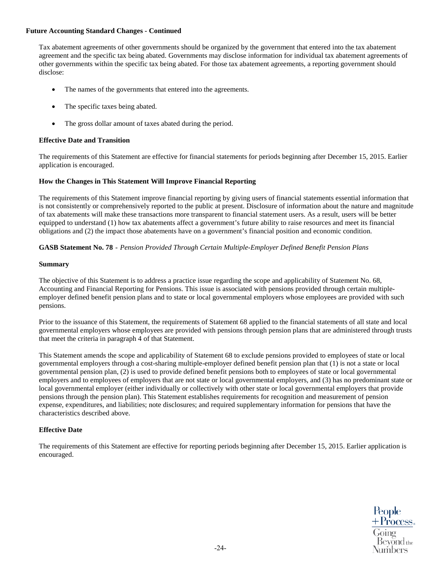Tax abatement agreements of other governments should be organized by the government that entered into the tax abatement agreement and the specific tax being abated. Governments may disclose information for individual tax abatement agreements of other governments within the specific tax being abated. For those tax abatement agreements, a reporting government should disclose:

- The names of the governments that entered into the agreements.
- The specific taxes being abated.
- The gross dollar amount of taxes abated during the period.

#### **Effective Date and Transition**

The requirements of this Statement are effective for financial statements for periods beginning after December 15, 2015. Earlier application is encouraged.

#### **How the Changes in This Statement Will Improve Financial Reporting**

The requirements of this Statement improve financial reporting by giving users of financial statements essential information that is not consistently or comprehensively reported to the public at present. Disclosure of information about the nature and magnitude of tax abatements will make these transactions more transparent to financial statement users. As a result, users will be better equipped to understand (1) how tax abatements affect a government's future ability to raise resources and meet its financial obligations and (2) the impact those abatements have on a government's financial position and economic condition.

**GASB Statement No. 78** - *Pension Provided Through Certain Multiple-Employer Defined Benefit Pension Plans*

#### **Summary**

The objective of this Statement is to address a practice issue regarding the scope and applicability of Statement No. 68, Accounting and Financial Reporting for Pensions. This issue is associated with pensions provided through certain multipleemployer defined benefit pension plans and to state or local governmental employers whose employees are provided with such pensions.

Prior to the issuance of this Statement, the requirements of Statement 68 applied to the financial statements of all state and local governmental employers whose employees are provided with pensions through pension plans that are administered through trusts that meet the criteria in paragraph 4 of that Statement.

This Statement amends the scope and applicability of Statement 68 to exclude pensions provided to employees of state or local governmental employers through a cost-sharing multiple-employer defined benefit pension plan that (1) is not a state or local governmental pension plan, (2) is used to provide defined benefit pensions both to employees of state or local governmental employers and to employees of employers that are not state or local governmental employers, and (3) has no predominant state or local governmental employer (either individually or collectively with other state or local governmental employers that provide pensions through the pension plan). This Statement establishes requirements for recognition and measurement of pension expense, expenditures, and liabilities; note disclosures; and required supplementary information for pensions that have the characteristics described above.

#### **Effective Date**

The requirements of this Statement are effective for reporting periods beginning after December 15, 2015. Earlier application is encouraged.

> People  $+$ Process.  $\overline{\text{Going}}$  $B$ evond<sub>the</sub> Numbers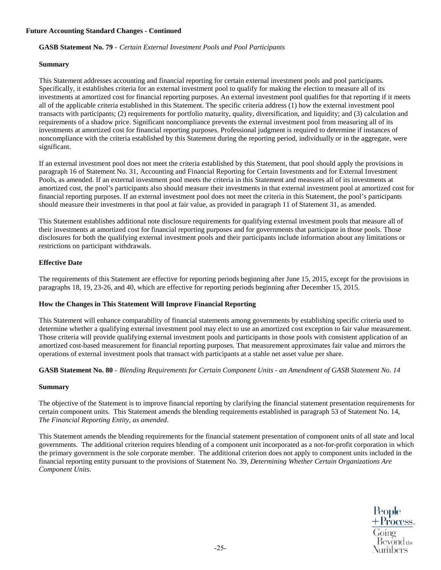#### **GASB Statement No. 79** - *Certain External Investment Pools and Pool Participants*

#### **Summary**

This Statement addresses accounting and financial reporting for certain external investment pools and pool participants. Specifically, it establishes criteria for an external investment pool to qualify for making the election to measure all of its investments at amortized cost for financial reporting purposes. An external investment pool qualifies for that reporting if it meets all of the applicable criteria established in this Statement. The specific criteria address (1) how the external investment pool transacts with participants; (2) requirements for portfolio maturity, quality, diversification, and liquidity; and (3) calculation and requirements of a shadow price. Significant noncompliance prevents the external investment pool from measuring all of its investments at amortized cost for financial reporting purposes. Professional judgment is required to determine if instances of noncompliance with the criteria established by this Statement during the reporting period, individually or in the aggregate, were significant.

If an external investment pool does not meet the criteria established by this Statement, that pool should apply the provisions in paragraph 16 of Statement No. 31, Accounting and Financial Reporting for Certain Investments and for External Investment Pools, as amended. If an external investment pool meets the criteria in this Statement and measures all of its investments at amortized cost, the pool's participants also should measure their investments in that external investment pool at amortized cost for financial reporting purposes. If an external investment pool does not meet the criteria in this Statement, the pool's participants should measure their investments in that pool at fair value, as provided in paragraph 11 of Statement 31, as amended.

This Statement establishes additional note disclosure requirements for qualifying external investment pools that measure all of their investments at amortized cost for financial reporting purposes and for governments that participate in those pools. Those disclosures for both the qualifying external investment pools and their participants include information about any limitations or restrictions on participant withdrawals.

#### **Effective Date**

The requirements of this Statement are effective for reporting periods beginning after June 15, 2015, except for the provisions in paragraphs 18, 19, 23-26, and 40, which are effective for reporting periods beginning after December 15, 2015.

#### **How the Changes in This Statement Will Improve Financial Reporting**

This Statement will enhance comparability of financial statements among governments by establishing specific criteria used to determine whether a qualifying external investment pool may elect to use an amortized cost exception to fair value measurement. Those criteria will provide qualifying external investment pools and participants in those pools with consistent application of an amortized cost-based measurement for financial reporting purposes. That measurement approximates fair value and mirrors the operations of external investment pools that transact with participants at a stable net asset value per share.

#### **GASB Statement No. 80** - *Blending Requirements for Certain Component Units - an Amendment of GASB Statement No. 14*

#### **Summary**

The objective of the Statement is to improve financial reporting by clarifying the financial statement presentation requirements for certain component units. This Statement amends the blending requirements established in paragraph 53 of Statement No. 14, *The Financial Reporting Entity, as amended*.

This Statement amends the blending requirements for the financial statement presentation of component units of all state and local governments. The additional criterion requires blending of a component unit incorporated as a not-for-profit corporation in which the primary government is the sole corporate member. The additional criterion does not apply to component units included in the financial reporting entity pursuant to the provisions of Statement No. 39, *Determining Whether Certain Organizations Are Component Units*.

> People  $+$ Process.  $\frac{1}{\text{Going}}$